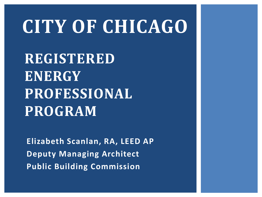# **CITY OF CHICAGO**

**REGISTERED ENERGY PROFESSIONAL PROGRAM**

**Elizabeth Scanlan, RA, LEED AP Deputy Managing Architect Public Building Commission**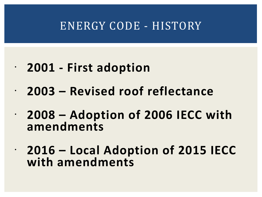#### ENERGY CODE - HISTORY

- **2001 - First adoption**
- **2003 – Revised roof reflectance**
- **2008 – Adoption of 2006 IECC with amendments**
- **2016 – Local Adoption of 2015 IECC with amendments**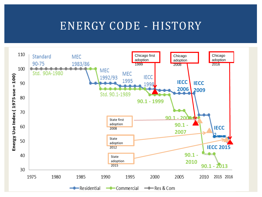#### ENERGY CODE - HISTORY

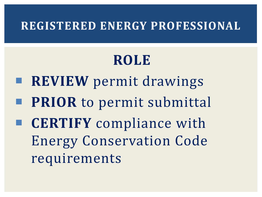### **ROLE**

**REVIEW** permit drawings **PRIOR** to permit submittal **CERTIFY** compliance with Energy Conservation Code requirements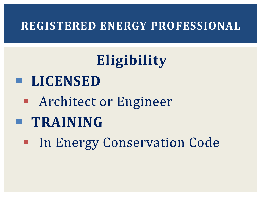## **Eligibility**

## **LICENSED**

**Architect or Engineer** 

### **TRAINING**

**In Energy Conservation Code**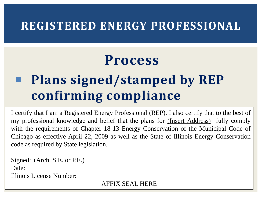#### **Process**

### **Plans signed/stamped by REP confirming compliance**

I certify that I am a Registered Energy Professional (REP). I also certify that to the best of my professional knowledge and belief that the plans for (Insert Address) fully comply with the requirements of Chapter 18-13 Energy Conservation of the Municipal Code of Chicago as effective April 22, 2009 as well as the State of Illinois Energy Conservation code as required by State legislation.

Signed: (Arch. S.E. or P.E.) Date: Illinois License Number:

AFFIX SEAL HERE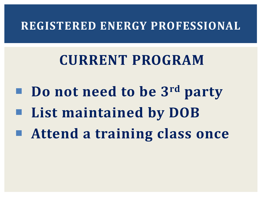### **CURRENT PROGRAM**

 **Do not need to be 3rd party List maintained by DOB Attend a training class once**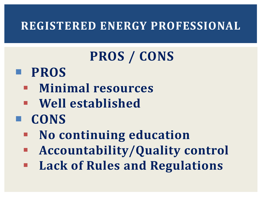## **PROS / CONS**

- **PROS**
	- **Minimal resources**
	- **Well established**
- **CONS**
	- **No continuing education**
	- **Accountability/Quality control**
	- **Lack of Rules and Regulations**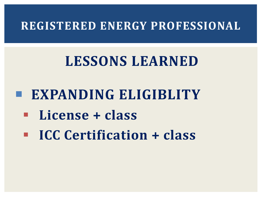### **LESSONS LEARNED**

- **EXPANDING ELIGIBLITY**
	- **License + class**
	- **ICC Certification + class**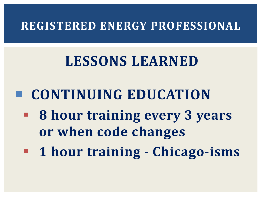### **LESSONS LEARNED**

### **EXCONTINUING EDUCATION**

- **8 hour training every 3 years or when code changes**
- **1 hour training - Chicago-isms**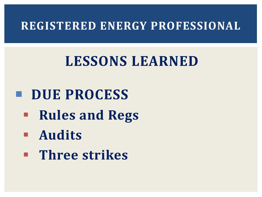### **LESSONS LEARNED**

### **DUE PROCESS**

- **Rules and Regs**
- **Audits**
- **Three strikes**